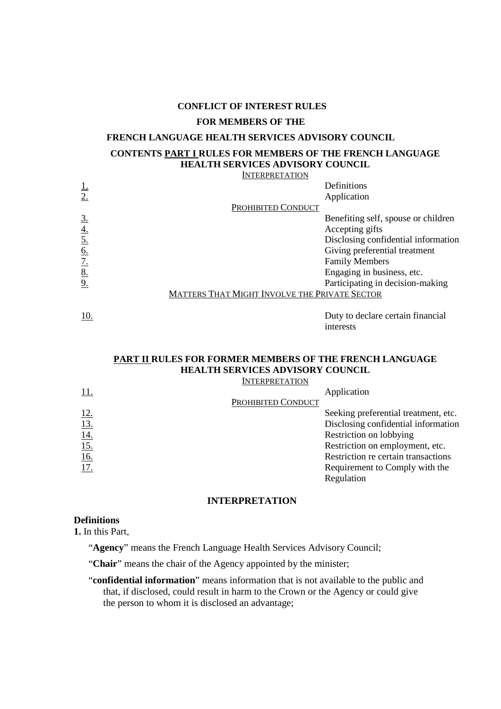#### **CONFLICT OF INTEREST RULES**

## **FOR MEMBERS OF THE**

# **FRENCH LANGUAGE HEALTH SERVICES ADVISORY COUNCIL**

# **CONTENTS PART I RULES FOR MEMBERS OF THE FRENCH LANGUAGE HEALTH SERVICES ADVISORY COUNCIL**

**INTERPRETATION** 

|                  |                                               | Definitions                         |
|------------------|-----------------------------------------------|-------------------------------------|
|                  |                                               | Application                         |
|                  | PROHIBITED CONDUCT                            |                                     |
| $\overline{3}$ . |                                               | Benefiting self, spouse or children |
| <u>4.</u>        |                                               | Accepting gifts                     |
|                  |                                               | Disclosing confidential information |
| <u>6.</u>        |                                               | Giving preferential treatment       |
| <u>7.</u>        |                                               | <b>Family Members</b>               |
| <u>8.</u>        |                                               | Engaging in business, etc.          |
|                  |                                               | Participating in decision-making    |
|                  | MATTERS THAT MIGHT INVOLVE THE PRIVATE SECTOR |                                     |
|                  |                                               |                                     |
| 10.              |                                               | Duty to declare certain financial   |

# **PART II RULES FOR FORMER MEMBERS OF THE FRENCH LANGUAGE HEALTH SERVICES ADVISORY COUNCIL**

interests

| <b>INTERPRETATION</b>                  |                                      |
|----------------------------------------|--------------------------------------|
|                                        | Application                          |
| <b>PROHIBITED CONDUCT</b>              |                                      |
|                                        | Seeking preferential treatment, etc. |
| $\frac{12}{13}$                        | Disclosing confidential information  |
|                                        | Restriction on lobbying              |
|                                        | Restriction on employment, etc.      |
|                                        | Restriction re certain transactions  |
| $\frac{14.}{15.}$<br>$\frac{16.}{17.}$ | Requirement to Comply with the       |
|                                        | Regulation                           |

# **INTERPRETATION**

# **Definitions**

**1.** In this Part,

"**Agency**" means the French Language Health Services Advisory Council;

"Chair" means the chair of the Agency appointed by the minister;

"**confidential information**" means information that is not available to the public and that, if disclosed, could result in harm to the Crown or the Agency or could give the person to whom it is disclosed an advantage;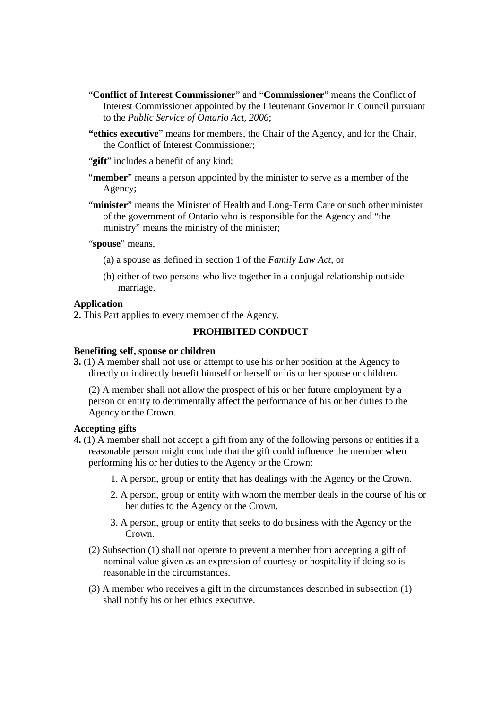- "**Conflict of Interest Commissioner**" and "**Commissioner**" means the Conflict of Interest Commissioner appointed by the Lieutenant Governor in Council pursuant to the *Public Service of Ontario Act, 2006*;
- **"ethics executive**" means for members, the Chair of the Agency, and for the Chair, the Conflict of Interest Commissioner;
- "**gift**" includes a benefit of any kind;
- "**member**" means a person appointed by the minister to serve as a member of the Agency;
- "**minister**" means the Minister of Health and Long-Term Care or such other minister of the government of Ontario who is responsible for the Agency and "the ministry" means the ministry of the minister;

"spouse" means,

- (a) a spouse as defined in section 1 of the *Family Law Act*, or
- (b) either of two persons who live together in a conjugal relationship outside marriage.

### **Application**

**2.** This Part applies to every member of the Agency.

# **PROHIBITED CONDUCT**

## **Benefiting self, spouse or children**

**3.** (1) A member shall not use or attempt to use his or her position at the Agency to directly or indirectly benefit himself or herself or his or her spouse or children.

(2) A member shall not allow the prospect of his or her future employment by a person or entity to detrimentally affect the performance of his or her duties to the Agency or the Crown.

### **Accepting gifts**

- **4.** (1) A member shall not accept a gift from any of the following persons or entities if a reasonable person might conclude that the gift could influence the member when performing his or her duties to the Agency or the Crown:
	- 1. A person, group or entity that has dealings with the Agency or the Crown.
	- 2. A person, group or entity with whom the member deals in the course of his or her duties to the Agency or the Crown.
	- 3. A person, group or entity that seeks to do business with the Agency or the Crown.
	- (2) Subsection (1) shall not operate to prevent a member from accepting a gift of nominal value given as an expression of courtesy or hospitality if doing so is reasonable in the circumstances.
	- (3) A member who receives a gift in the circumstances described in subsection (1) shall notify his or her ethics executive.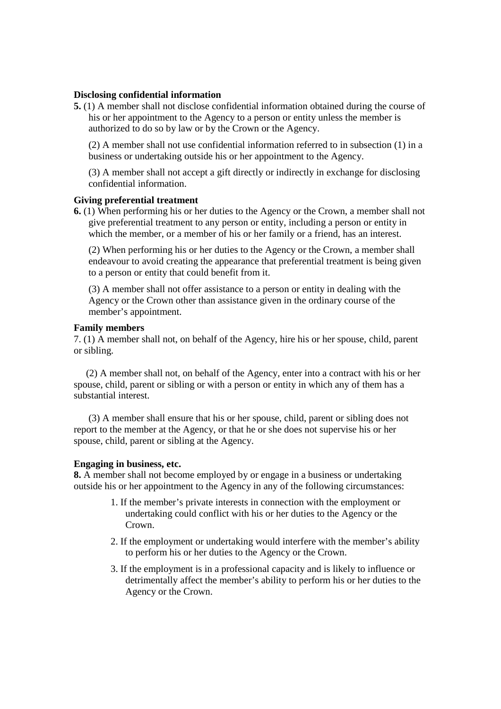## **Disclosing confidential information**

**5.** (1) A member shall not disclose confidential information obtained during the course of his or her appointment to the Agency to a person or entity unless the member is authorized to do so by law or by the Crown or the Agency.

(2) A member shall not use confidential information referred to in subsection (1) in a business or undertaking outside his or her appointment to the Agency.

(3) A member shall not accept a gift directly or indirectly in exchange for disclosing confidential information.

### **Giving preferential treatment**

**6.** (1) When performing his or her duties to the Agency or the Crown, a member shall not give preferential treatment to any person or entity, including a person or entity in which the member, or a member of his or her family or a friend, has an interest.

(2) When performing his or her duties to the Agency or the Crown, a member shall endeavour to avoid creating the appearance that preferential treatment is being given to a person or entity that could benefit from it.

(3) A member shall not offer assistance to a person or entity in dealing with the Agency or the Crown other than assistance given in the ordinary course of the member's appointment.

### **Family members**

7. (1) A member shall not, on behalf of the Agency, hire his or her spouse, child, parent or sibling.

(2) A member shall not, on behalf of the Agency, enter into a contract with his or her spouse, child, parent or sibling or with a person or entity in which any of them has a substantial interest.

(3) A member shall ensure that his or her spouse, child, parent or sibling does not report to the member at the Agency, or that he or she does not supervise his or her spouse, child, parent or sibling at the Agency.

#### **Engaging in business, etc.**

**8.** A member shall not become employed by or engage in a business or undertaking outside his or her appointment to the Agency in any of the following circumstances:

- 1. If the member's private interests in connection with the employment or undertaking could conflict with his or her duties to the Agency or the Crown.
- 2. If the employment or undertaking would interfere with the member's ability to perform his or her duties to the Agency or the Crown.
- 3. If the employment is in a professional capacity and is likely to influence or detrimentally affect the member's ability to perform his or her duties to the Agency or the Crown.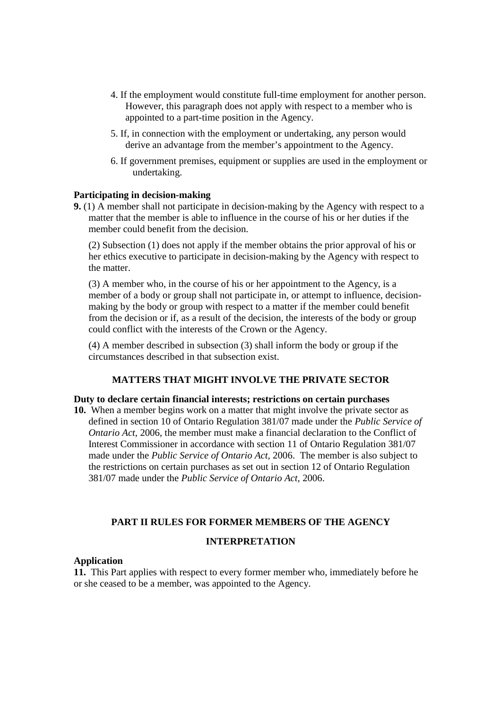- 4. If the employment would constitute full-time employment for another person. However, this paragraph does not apply with respect to a member who is appointed to a part-time position in the Agency.
- 5. If, in connection with the employment or undertaking, any person would derive an advantage from the member's appointment to the Agency.
- 6. If government premises, equipment or supplies are used in the employment or undertaking.

# **Participating in decision-making**

**9.** (1) A member shall not participate in decision-making by the Agency with respect to a matter that the member is able to influence in the course of his or her duties if the member could benefit from the decision.

(2) Subsection (1) does not apply if the member obtains the prior approval of his or her ethics executive to participate in decision-making by the Agency with respect to the matter.

(3) A member who, in the course of his or her appointment to the Agency, is a member of a body or group shall not participate in, or attempt to influence, decisionmaking by the body or group with respect to a matter if the member could benefit from the decision or if, as a result of the decision, the interests of the body or group could conflict with the interests of the Crown or the Agency.

(4) A member described in subsection (3) shall inform the body or group if the circumstances described in that subsection exist.

# **MATTERS THAT MIGHT INVOLVE THE PRIVATE SECTOR**

#### **Duty to declare certain financial interests; restrictions on certain purchases**

**10.** When a member begins work on a matter that might involve the private sector as defined in section 10 of Ontario Regulation 381/07 made under the *Public Service of Ontario Act,* 2006, the member must make a financial declaration to the Conflict of Interest Commissioner in accordance with section 11 of Ontario Regulation 381/07 made under the *Public Service of Ontario Act,* 2006. The member is also subject to the restrictions on certain purchases as set out in section 12 of Ontario Regulation 381/07 made under the *Public Service of Ontario Act,* 2006.

# **PART II RULES FOR FORMER MEMBERS OF THE AGENCY**

### **INTERPRETATION**

## **Application**

**11.** This Part applies with respect to every former member who, immediately before he or she ceased to be a member, was appointed to the Agency.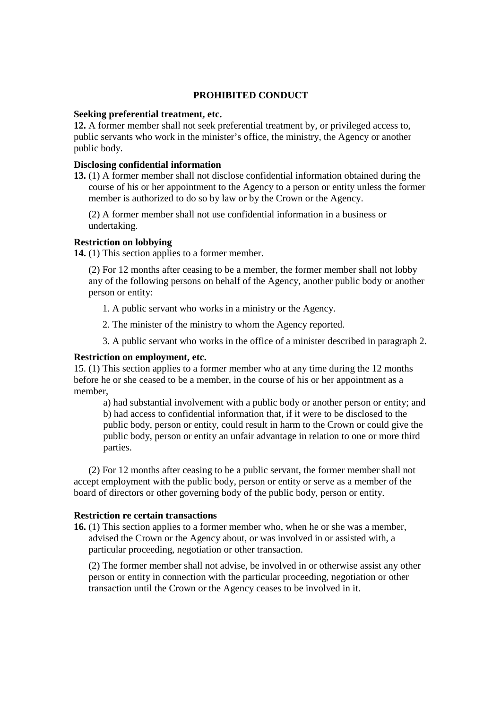# **PROHIBITED CONDUCT**

## **Seeking preferential treatment, etc.**

**12.** A former member shall not seek preferential treatment by, or privileged access to, public servants who work in the minister's office, the ministry, the Agency or another public body.

## **Disclosing confidential information**

**13.** (1) A former member shall not disclose confidential information obtained during the course of his or her appointment to the Agency to a person or entity unless the former member is authorized to do so by law or by the Crown or the Agency.

(2) A former member shall not use confidential information in a business or undertaking.

## **Restriction on lobbying**

**14.** (1) This section applies to a former member.

(2) For 12 months after ceasing to be a member, the former member shall not lobby any of the following persons on behalf of the Agency, another public body or another person or entity:

1. A public servant who works in a ministry or the Agency.

2. The minister of the ministry to whom the Agency reported.

3. A public servant who works in the office of a minister described in paragraph 2.

## **Restriction on employment, etc.**

15. (1) This section applies to a former member who at any time during the 12 months before he or she ceased to be a member, in the course of his or her appointment as a member,

a) had substantial involvement with a public body or another person or entity; and b) had access to confidential information that, if it were to be disclosed to the public body, person or entity, could result in harm to the Crown or could give the public body, person or entity an unfair advantage in relation to one or more third parties.

(2) For 12 months after ceasing to be a public servant, the former member shall not accept employment with the public body, person or entity or serve as a member of the board of directors or other governing body of the public body, person or entity.

## **Restriction re certain transactions**

**16.** (1) This section applies to a former member who, when he or she was a member, advised the Crown or the Agency about, or was involved in or assisted with, a particular proceeding, negotiation or other transaction.

(2) The former member shall not advise, be involved in or otherwise assist any other person or entity in connection with the particular proceeding, negotiation or other transaction until the Crown or the Agency ceases to be involved in it.